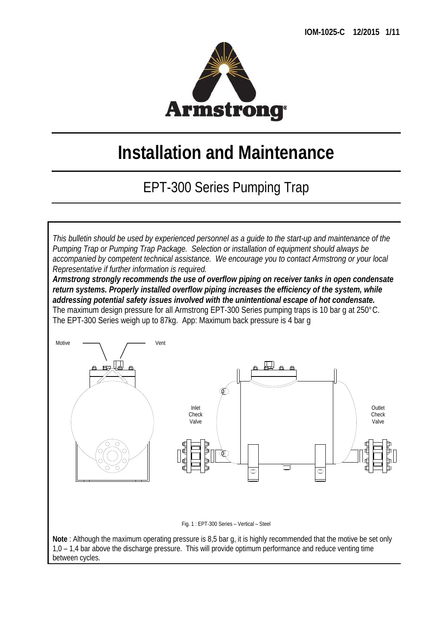

# **Installation and Maintenance**

## EPT-300 Series Pumping Trap

*This bulletin should be used by experienced personnel as a guide to the start-up and maintenance of the Pumping Trap or Pumping Trap Package. Selection or installation of equipment should always be accompanied by competent technical assistance. We encourage you to contact Armstrong or your local Representative if further information is required.* 

*Armstrong strongly recommends the use of overflow piping on receiver tanks in open condensate return systems. Properly installed overflow piping increases the efficiency of the system, while addressing potential safety issues involved with the unintentional escape of hot condensate.*  The maximum design pressure for all Armstrong EPT-300 Series pumping traps is 10 bar g at 250°C. The EPT-300 Series weigh up to 87kg. App: Maximum back pressure is 4 bar g



Fig. 1 : EPT-300 Series – Vertical – Steel

**Note** : Although the maximum operating pressure is 8,5 bar g, it is highly recommended that the motive be set only 1,0 – 1,4 bar above the discharge pressure. This will provide optimum performance and reduce venting time between cycles.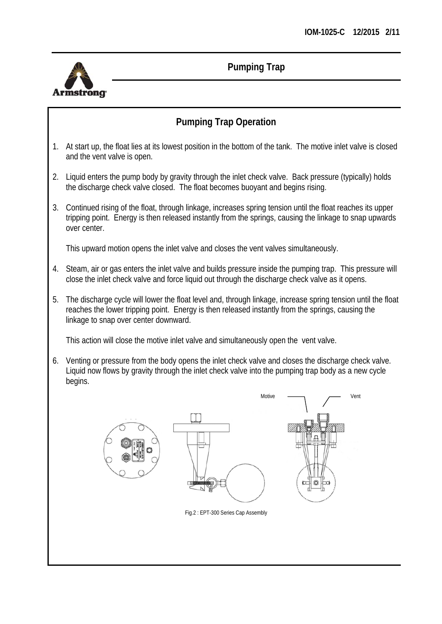

## **Pumping Trap Operation**

- 1. At start up, the float lies at its lowest position in the bottom of the tank. The motive inlet valve is closed and the vent valve is open.
- 2. Liquid enters the pump body by gravity through the inlet check valve. Back pressure (typically) holds the discharge check valve closed. The float becomes buoyant and begins rising.
- 3. Continued rising of the float, through linkage, increases spring tension until the float reaches its upper tripping point. Energy is then released instantly from the springs, causing the linkage to snap upwards over center.

This upward motion opens the inlet valve and closes the vent valves simultaneously.

- 4. Steam, air or gas enters the inlet valve and builds pressure inside the pumping trap. This pressure will close the inlet check valve and force liquid out through the discharge check valve as it opens.
- 5. The discharge cycle will lower the float level and, through linkage, increase spring tension until the float reaches the lower tripping point. Energy is then released instantly from the springs, causing the linkage to snap over center downward.

This action will close the motive inlet valve and simultaneously open the vent valve.

6. Venting or pressure from the body opens the inlet check valve and closes the discharge check valve. Liquid now flows by gravity through the inlet check valve into the pumping trap body as a new cycle begins.

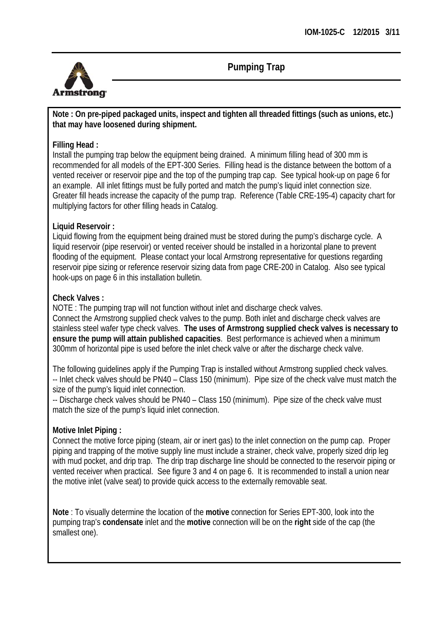

**Note : On pre-piped packaged units, inspect and tighten all threaded fittings (such as unions, etc.) that may have loosened during shipment.** 

#### **Filling Head :**

Install the pumping trap below the equipment being drained. A minimum filling head of 300 mm is recommended for all models of the EPT-300 Series. Filling head is the distance between the bottom of a vented receiver or reservoir pipe and the top of the pumping trap cap. See typical hook-up on page 6 for an example. All inlet fittings must be fully ported and match the pump's liquid inlet connection size. Greater fill heads increase the capacity of the pump trap. Reference (Table CRE-195-4) capacity chart for multiplying factors for other filling heads in Catalog.

#### **Liquid Reservoir :**

Liquid flowing from the equipment being drained must be stored during the pump's discharge cycle. A liquid reservoir (pipe reservoir) or vented receiver should be installed in a horizontal plane to prevent flooding of the equipment. Please contact your local Armstrong representative for questions regarding reservoir pipe sizing or reference reservoir sizing data from page CRE-200 in Catalog. Also see typical hook-ups on page 6 in this installation bulletin.

#### **Check Valves :**

NOTE : The pumping trap will not function without inlet and discharge check valves. Connect the Armstrong supplied check valves to the pump. Both inlet and discharge check valves are stainless steel wafer type check valves. **The uses of Armstrong supplied check valves is necessary to ensure the pump will attain published capacities**. Best performance is achieved when a minimum 300mm of horizontal pipe is used before the inlet check valve or after the discharge check valve.

The following guidelines apply if the Pumping Trap is installed without Armstrong supplied check valves. -- Inlet check valves should be PN40 – Class 150 (minimum). Pipe size of the check valve must match the size of the pump's liquid inlet connection.

-- Discharge check valves should be PN40 – Class 150 (minimum). Pipe size of the check valve must match the size of the pump's liquid inlet connection.

#### **Motive Inlet Piping :**

Connect the motive force piping (steam, air or inert gas) to the inlet connection on the pump cap. Proper piping and trapping of the motive supply line must include a strainer, check valve, properly sized drip leg with mud pocket, and drip trap. The drip trap discharge line should be connected to the reservoir piping or vented receiver when practical. See figure 3 and 4 on page 6. It is recommended to install a union near the motive inlet (valve seat) to provide quick access to the externally removable seat.

**Note** : To visually determine the location of the **motive** connection for Series EPT-300, look into the pumping trap's **condensate** inlet and the **motive** connection will be on the **right** side of the cap (the smallest one).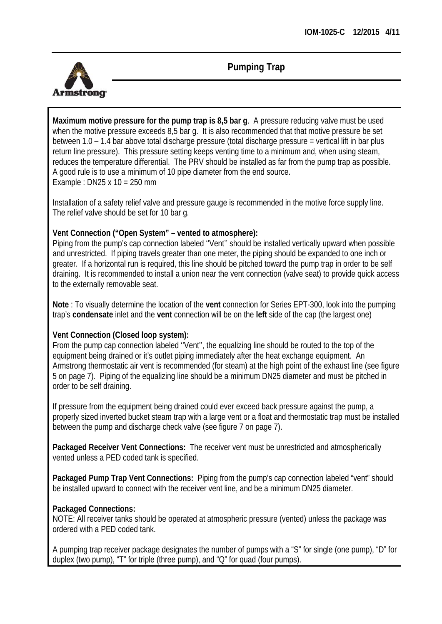

**Maximum motive pressure for the pump trap is 8,5 bar g**. A pressure reducing valve must be used when the motive pressure exceeds 8,5 bar q. It is also recommended that that motive pressure be set between 1.0 – 1.4 bar above total discharge pressure (total discharge pressure = vertical lift in bar plus return line pressure). This pressure setting keeps venting time to a minimum and, when using steam, reduces the temperature differential. The PRV should be installed as far from the pump trap as possible. A good rule is to use a minimum of 10 pipe diameter from the end source. Example : DN25 x 10 = 250 mm

Installation of a safety relief valve and pressure gauge is recommended in the motive force supply line. The relief valve should be set for 10 bar g.

#### **Vent Connection ("Open System" – vented to atmosphere):**

Piping from the pump's cap connection labeled ''Vent'' should be installed vertically upward when possible and unrestricted. If piping travels greater than one meter, the piping should be expanded to one inch or greater. If a horizontal run is required, this line should be pitched toward the pump trap in order to be self draining. It is recommended to install a union near the vent connection (valve seat) to provide quick access to the externally removable seat.

**Note** : To visually determine the location of the **vent** connection for Series EPT-300, look into the pumping trap's **condensate** inlet and the **vent** connection will be on the **left** side of the cap (the largest one)

#### **Vent Connection (Closed loop system):**

From the pump cap connection labeled ''Vent'', the equalizing line should be routed to the top of the equipment being drained or it's outlet piping immediately after the heat exchange equipment. An Armstrong thermostatic air vent is recommended (for steam) at the high point of the exhaust line (see figure 5 on page 7). Piping of the equalizing line should be a minimum DN25 diameter and must be pitched in order to be self draining.

If pressure from the equipment being drained could ever exceed back pressure against the pump, a properly sized inverted bucket steam trap with a large vent or a float and thermostatic trap must be installed between the pump and discharge check valve (see figure 7 on page 7).

**Packaged Receiver Vent Connections:** The receiver vent must be unrestricted and atmospherically vented unless a PED coded tank is specified.

**Packaged Pump Trap Vent Connections:** Piping from the pump's cap connection labeled "vent" should be installed upward to connect with the receiver vent line, and be a minimum DN25 diameter.

#### **Packaged Connections:**

NOTE: All receiver tanks should be operated at atmospheric pressure (vented) unless the package was ordered with a PED coded tank.

A pumping trap receiver package designates the number of pumps with a "S" for single (one pump), "D" for duplex (two pump), "T" for triple (three pump), and "Q" for quad (four pumps).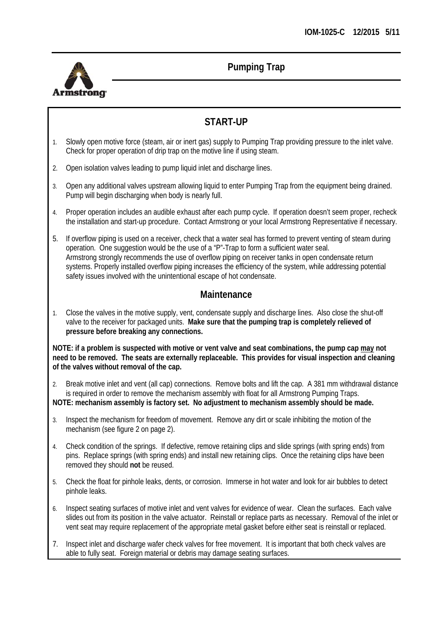

## **START-UP**

- 1. Slowly open motive force (steam, air or inert gas) supply to Pumping Trap providing pressure to the inlet valve. Check for proper operation of drip trap on the motive line if using steam.
- 2. Open isolation valves leading to pump liquid inlet and discharge lines.
- 3. Open any additional valves upstream allowing liquid to enter Pumping Trap from the equipment being drained. Pump will begin discharging when body is nearly full.
- 4. Proper operation includes an audible exhaust after each pump cycle. If operation doesn't seem proper, recheck the installation and start-up procedure. Contact Armstrong or your local Armstrong Representative if necessary.
- 5. If overflow piping is used on a receiver, check that a water seal has formed to prevent venting of steam during operation. One suggestion would be the use of a "P"-Trap to form a sufficient water seal. Armstrong strongly recommends the use of overflow piping on receiver tanks in open condensate return systems. Properly installed overflow piping increases the efficiency of the system, while addressing potential safety issues involved with the unintentional escape of hot condensate.

#### **Maintenance**

1. Close the valves in the motive supply, vent, condensate supply and discharge lines. Also close the shut-off valve to the receiver for packaged units. **Make sure that the pumping trap is completely relieved of pressure before breaking any connections.**

**NOTE: if a problem is suspected with motive or vent valve and seat combinations, the pump cap may not need to be removed. The seats are externally replaceable. This provides for visual inspection and cleaning of the valves without removal of the cap.** 

2. Break motive inlet and vent (all cap) connections. Remove bolts and lift the cap. A 381 mm withdrawal distance is required in order to remove the mechanism assembly with float for all Armstrong Pumping Traps.

**NOTE: mechanism assembly is factory set. No adjustment to mechanism assembly should be made.** 

- 3. Inspect the mechanism for freedom of movement. Remove any dirt or scale inhibiting the motion of the mechanism (see figure 2 on page 2).
- 4. Check condition of the springs. If defective, remove retaining clips and slide springs (with spring ends) from pins. Replace springs (with spring ends) and install new retaining clips. Once the retaining clips have been removed they should **not** be reused.
- 5. Check the float for pinhole leaks, dents, or corrosion. Immerse in hot water and look for air bubbles to detect pinhole leaks.
- 6. Inspect seating surfaces of motive inlet and vent valves for evidence of wear. Clean the surfaces. Each valve slides out from its position in the valve actuator. Reinstall or replace parts as necessary. Removal of the inlet or vent seat may require replacement of the appropriate metal gasket before either seat is reinstall or replaced.
- 7. Inspect inlet and discharge wafer check valves for free movement. It is important that both check valves are able to fully seat. Foreign material or debris may damage seating surfaces.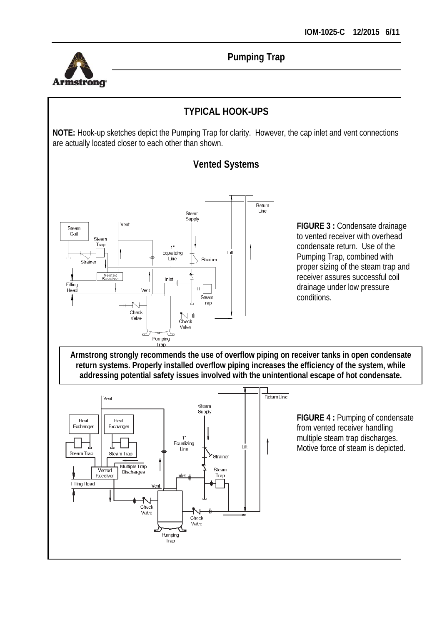

Exchange

Steam Trap

Filling Head

Exchange

Steam Trap

Multiple Trap

Discharges

Vent

Check Valve

T

Vented

Receiver

**Pumping Trap** 

## **TYPICAL HOOK-UPS**

**NOTE:** Hook-up sketches depict the Pumping Trap for clarity. However, the cap inlet and vent connections are actually located closer to each other than shown.



 $\ddot{\phantom{1}}$ Equalizing

.<br>Line

Inle

Pumping Trap

Check Valve

ΤĤ

Strainer

Steam

Trap

## **Vented Systems**

**FIGURE 3 :** Condensate drainage to vented receiver with overhead condensate return. Use of the Pumping Trap, combined with proper sizing of the steam trap and receiver assures successful coil drainage under low pressure conditions.

**FIGURE 4 :** Pumping of condensate from vented receiver handling multiple steam trap discharges. Motive force of steam is depicted.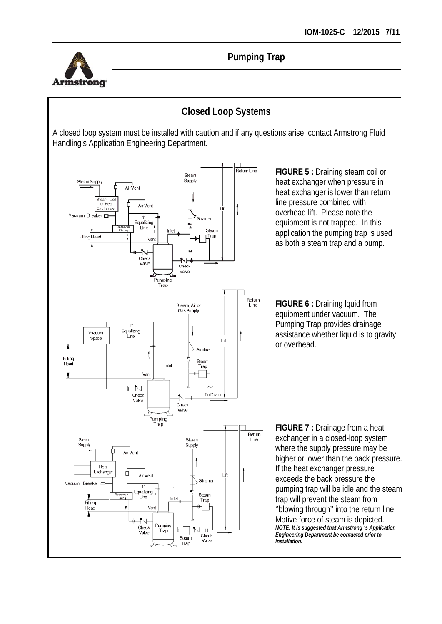

## **Closed Loop Systems**

A closed loop system must be installed with caution and if any questions arise, contact Armstrong Fluid Handling's Application Engineering Department.



**FIGURE 5 :** Draining steam coil or heat exchanger when pressure in heat exchanger is lower than return line pressure combined with overhead lift. Please note the equipment is not trapped. In this application the pumping trap is used as both a steam trap and a pump.

**FIGURE 6 :** Draining lquid from equipment under vacuum. The Pumping Trap provides drainage assistance whether liquid is to gravity or overhead.

**FIGURE 7 :** Drainage from a heat exchanger in a closed-loop system where the supply pressure may be higher or lower than the back pressure. If the heat exchanger pressure exceeds the back pressure the pumping trap will be idle and the steam trap will prevent the steam from ''blowing through'' into the return line. Motive force of steam is depicted. *NOTE: It is suggested that Armstrong 's Application Engineering Department be contacted prior to installation.*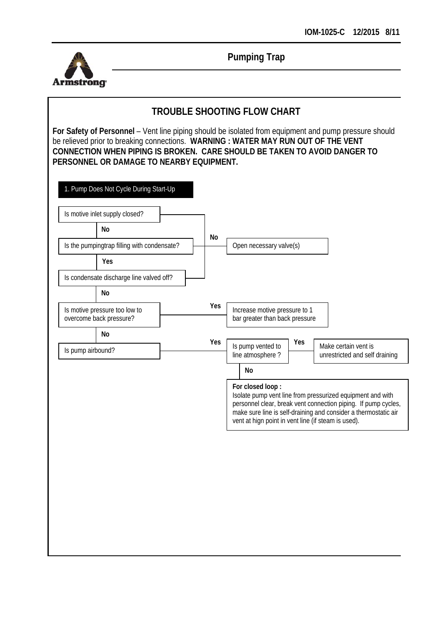

## **TROUBLE SHOOTING FLOW CHART**

| Open necessary valve(s)<br>Yes<br>Is condensate discharge line valved off?<br><b>No</b><br>Yes<br>Is motive pressure too low to<br>Increase motive pressure to 1<br>overcome back pressure?<br>bar greater than back pressure<br><b>No</b><br>Yes<br>Yes<br>Is pump vented to<br>Make certain vent is<br>Is pump airbound?<br>line atmosphere?<br>No<br>For closed loop:<br>Isolate pump vent line from pressurized equipment and with<br>personnel clear, break vent connection piping. If pump cycles,<br>make sure line is self-draining and consider a thermostatic air<br>vent at hign point in vent line (if steam is used). |                                             | Is motive inlet supply closed?<br><b>No</b> |  | <b>No</b> |  |  |  |                                |
|------------------------------------------------------------------------------------------------------------------------------------------------------------------------------------------------------------------------------------------------------------------------------------------------------------------------------------------------------------------------------------------------------------------------------------------------------------------------------------------------------------------------------------------------------------------------------------------------------------------------------------|---------------------------------------------|---------------------------------------------|--|-----------|--|--|--|--------------------------------|
|                                                                                                                                                                                                                                                                                                                                                                                                                                                                                                                                                                                                                                    | Is the pumpingtrap filling with condensate? |                                             |  |           |  |  |  |                                |
|                                                                                                                                                                                                                                                                                                                                                                                                                                                                                                                                                                                                                                    |                                             |                                             |  |           |  |  |  |                                |
|                                                                                                                                                                                                                                                                                                                                                                                                                                                                                                                                                                                                                                    |                                             |                                             |  |           |  |  |  |                                |
|                                                                                                                                                                                                                                                                                                                                                                                                                                                                                                                                                                                                                                    |                                             |                                             |  |           |  |  |  |                                |
|                                                                                                                                                                                                                                                                                                                                                                                                                                                                                                                                                                                                                                    |                                             |                                             |  |           |  |  |  |                                |
|                                                                                                                                                                                                                                                                                                                                                                                                                                                                                                                                                                                                                                    |                                             |                                             |  |           |  |  |  |                                |
|                                                                                                                                                                                                                                                                                                                                                                                                                                                                                                                                                                                                                                    |                                             |                                             |  |           |  |  |  | unrestricted and self draining |
|                                                                                                                                                                                                                                                                                                                                                                                                                                                                                                                                                                                                                                    |                                             |                                             |  |           |  |  |  |                                |
|                                                                                                                                                                                                                                                                                                                                                                                                                                                                                                                                                                                                                                    |                                             |                                             |  |           |  |  |  |                                |
|                                                                                                                                                                                                                                                                                                                                                                                                                                                                                                                                                                                                                                    |                                             |                                             |  |           |  |  |  |                                |
|                                                                                                                                                                                                                                                                                                                                                                                                                                                                                                                                                                                                                                    |                                             |                                             |  |           |  |  |  |                                |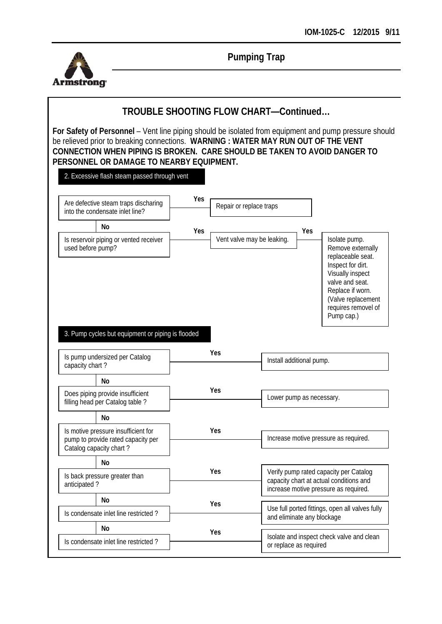

## **TROUBLE SHOOTING FLOW CHART—Continued…**

| Are defective steam traps discharing<br>into the condensate inlet line?                                          | Yes | Repair or replace traps |                                                                                                                            |                                                                                                                                                                                                    |  |  |
|------------------------------------------------------------------------------------------------------------------|-----|-------------------------|----------------------------------------------------------------------------------------------------------------------------|----------------------------------------------------------------------------------------------------------------------------------------------------------------------------------------------------|--|--|
| No                                                                                                               | Yes |                         | Yes                                                                                                                        |                                                                                                                                                                                                    |  |  |
| Is reservoir piping or vented receiver<br>used before pump?<br>3. Pump cycles but equipment or piping is flooded |     |                         | Vent valve may be leaking.                                                                                                 | Isolate pump.<br>Remove externally<br>replaceable seat.<br>Inspect for dirt.<br>Visually inspect<br>valve and seat.<br>Replace if worn.<br>(Valve replacement<br>requires removel of<br>Pump cap.) |  |  |
| Is pump undersized per Catalog<br>capacity chart?                                                                |     | Yes                     |                                                                                                                            |                                                                                                                                                                                                    |  |  |
|                                                                                                                  |     |                         | Install additional pump.                                                                                                   |                                                                                                                                                                                                    |  |  |
| N <sub>o</sub>                                                                                                   |     |                         |                                                                                                                            |                                                                                                                                                                                                    |  |  |
| Does piping provide insufficient<br>filling head per Catalog table?                                              |     | Yes                     | Lower pump as necessary.                                                                                                   |                                                                                                                                                                                                    |  |  |
| No                                                                                                               |     |                         |                                                                                                                            |                                                                                                                                                                                                    |  |  |
| Is motive pressure insufficient for<br>pump to provide rated capacity per<br>Catalog capacity chart?             |     | Yes                     | Increase motive pressure as required.                                                                                      |                                                                                                                                                                                                    |  |  |
| No                                                                                                               |     |                         |                                                                                                                            |                                                                                                                                                                                                    |  |  |
| Is back pressure greater than<br>anticipated?                                                                    |     | Yes                     | Verify pump rated capacity per Catalog<br>capacity chart at actual conditions and<br>increase motive pressure as required. |                                                                                                                                                                                                    |  |  |
| No                                                                                                               |     | Yes                     |                                                                                                                            |                                                                                                                                                                                                    |  |  |
| Is condensate inlet line restricted?                                                                             |     |                         | Use full ported fittings, open all valves fully                                                                            |                                                                                                                                                                                                    |  |  |
| No                                                                                                               |     | Yes                     | and eliminate any blockage<br>Isolate and inspect check valve and clean                                                    |                                                                                                                                                                                                    |  |  |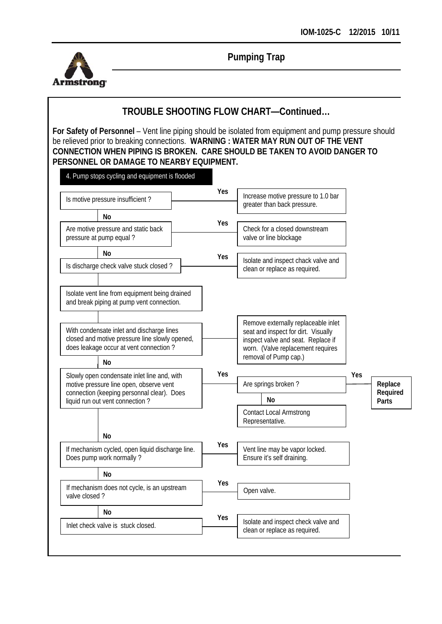

## **TROUBLE SHOOTING FLOW CHART—Continued…**

| Is motive pressure insufficient?                                                                                                            |  | <b>Yes</b> | Increase motive pressure to 1.0 bar<br>greater than back pressure.                                                                                                             |     |                              |
|---------------------------------------------------------------------------------------------------------------------------------------------|--|------------|--------------------------------------------------------------------------------------------------------------------------------------------------------------------------------|-----|------------------------------|
| N <sub>o</sub>                                                                                                                              |  |            |                                                                                                                                                                                |     |                              |
| Are motive pressure and static back<br>pressure at pump equal?                                                                              |  | <b>Yes</b> | Check for a closed downstream<br>valve or line blockage                                                                                                                        |     |                              |
| No                                                                                                                                          |  | Yes        |                                                                                                                                                                                |     |                              |
| Is discharge check valve stuck closed?                                                                                                      |  |            | Isolate and inspect chack valve and<br>clean or replace as required.                                                                                                           |     |                              |
| Isolate vent line from equipment being drained<br>and break piping at pump vent connection.                                                 |  |            |                                                                                                                                                                                |     |                              |
| With condensate inlet and discharge lines<br>closed and motive pressure line slowly opened,<br>does leakage occur at vent connection?<br>No |  |            | Remove externally replaceable inlet<br>seat and inspect for dirt. Visually<br>inspect valve and seat. Replace if<br>worn. (Valve replacement requires<br>removal of Pump cap.) |     |                              |
| Slowly open condensate inlet line and, with                                                                                                 |  | <b>Yes</b> |                                                                                                                                                                                | Yes |                              |
| motive pressure line open, observe vent<br>connection (keeping personnal clear). Does                                                       |  |            | Are springs broken?<br>No                                                                                                                                                      |     | Replace<br>Required<br>Parts |
|                                                                                                                                             |  |            |                                                                                                                                                                                |     |                              |
| liquid run out vent connection?                                                                                                             |  |            | <b>Contact Local Armstrong</b><br>Representative.                                                                                                                              |     |                              |
| No                                                                                                                                          |  |            |                                                                                                                                                                                |     |                              |
| If mechanism cycled, open liquid discharge line.<br>Does pump work normally?                                                                |  | <b>Yes</b> | Vent line may be vapor locked.<br>Ensure it's self draining.                                                                                                                   |     |                              |
| No                                                                                                                                          |  |            |                                                                                                                                                                                |     |                              |
| If mechanism does not cycle, is an upstream<br>valve closed?                                                                                |  | <b>Yes</b> | Open valve.                                                                                                                                                                    |     |                              |
| No                                                                                                                                          |  | Yes        |                                                                                                                                                                                |     |                              |